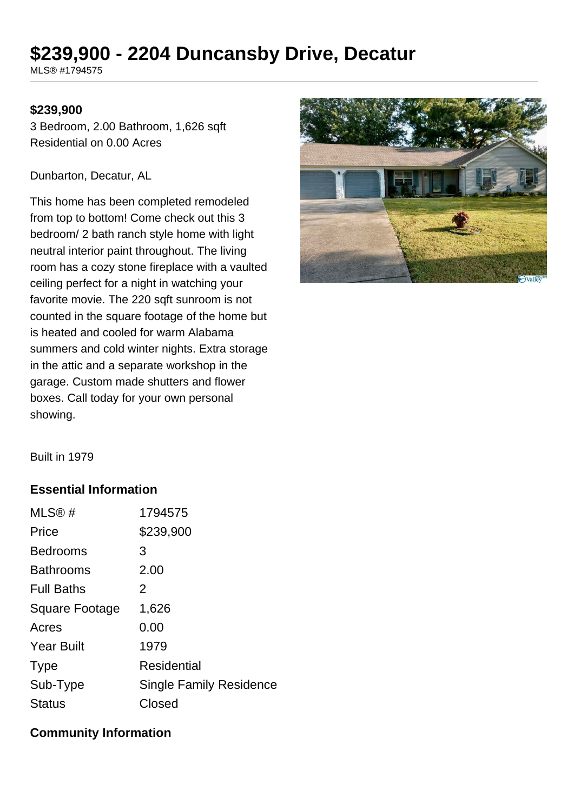# **\$239,900 - 2204 Duncansby Drive, Decatur**

MLS® #1794575

#### **\$239,900**

3 Bedroom, 2.00 Bathroom, 1,626 sqft Residential on 0.00 Acres

Dunbarton, Decatur, AL

This home has been completed remodeled from top to bottom! Come check out this 3 bedroom/ 2 bath ranch style home with light neutral interior paint throughout. The living room has a cozy stone fireplace with a vaulted ceiling perfect for a night in watching your favorite movie. The 220 sqft sunroom is not counted in the square footage of the home but is heated and cooled for warm Alabama summers and cold winter nights. Extra storage in the attic and a separate workshop in the garage. Custom made shutters and flower boxes. Call today for your own personal showing.



Built in 1979

## **Essential Information**

| MLS@#                 | 1794575                 |
|-----------------------|-------------------------|
| Price                 | \$239,900               |
| <b>Bedrooms</b>       | 3                       |
| <b>Bathrooms</b>      | 2.00                    |
| <b>Full Baths</b>     | 2                       |
| <b>Square Footage</b> | 1,626                   |
| Acres                 | 0.00                    |
| <b>Year Built</b>     | 1979                    |
| <b>Type</b>           | Residential             |
| Sub-Type              | Single Family Residence |
| <b>Status</b>         | Closed                  |

#### **Community Information**